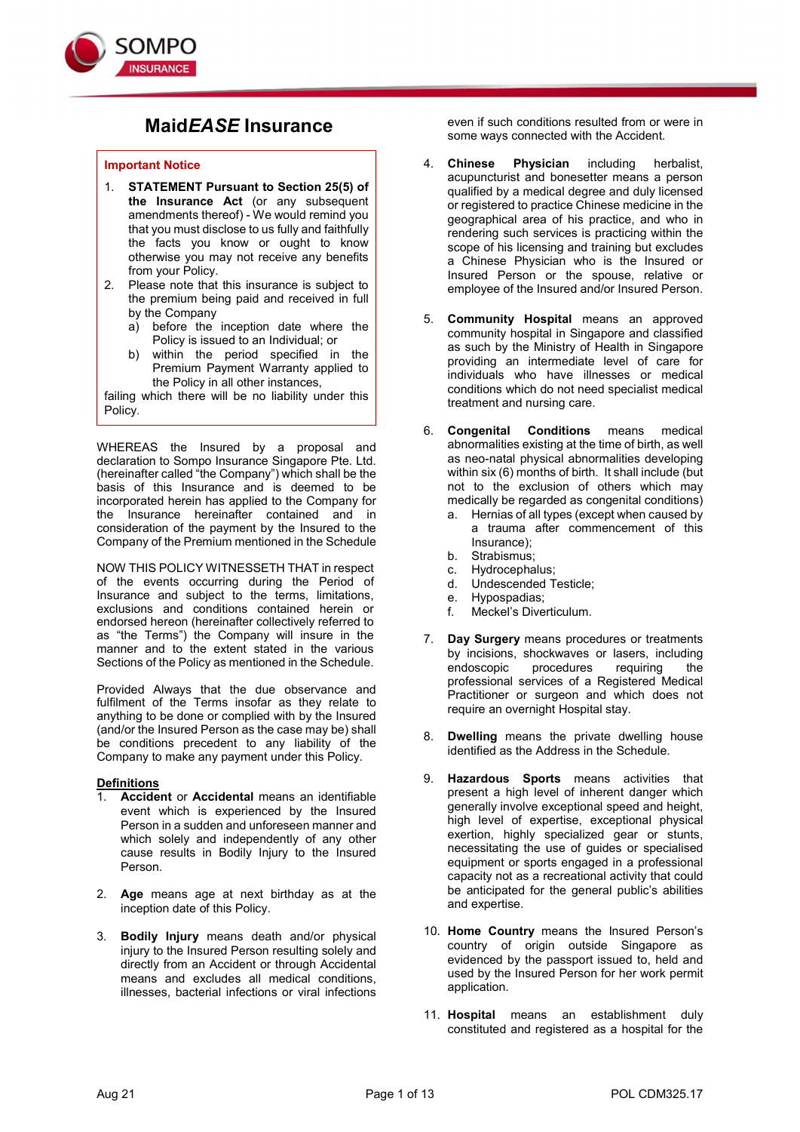

# MaidEASE Insurance

### Important Notice

- 1. STATEMENT Pursuant to Section 25(5) of the Insurance Act (or any subsequent amendments thereof) - We would remind you that you must disclose to us fully and faithfully the facts you know or ought to know otherwise you may not receive any benefits from your Policy.
- 2. Please note that this insurance is subject to the premium being paid and received in full by the Company
	- a) before the inception date where the Policy is issued to an Individual; or
	- b) within the period specified in the Premium Payment Warranty applied to the Policy in all other instances,

failing which there will be no liability under this Policy.

WHEREAS the Insured by a proposal and declaration to Sompo Insurance Singapore Pte. Ltd. (hereinafter called "the Company") which shall be the basis of this Insurance and is deemed to be incorporated herein has applied to the Company for the Insurance hereinafter contained and in consideration of the payment by the Insured to the Company of the Premium mentioned in the Schedule

NOW THIS POLICY WITNESSETH THAT in respect of the events occurring during the Period of Insurance and subject to the terms, limitations, exclusions and conditions contained herein or endorsed hereon (hereinafter collectively referred to as "the Terms") the Company will insure in the manner and to the extent stated in the various Sections of the Policy as mentioned in the Schedule.

Provided Always that the due observance and fulfilment of the Terms insofar as they relate to anything to be done or complied with by the Insured (and/or the Insured Person as the case may be) shall be conditions precedent to any liability of the Company to make any payment under this Policy.

### **Definitions**

- 1. Accident or Accidental means an identifiable event which is experienced by the Insured Person in a sudden and unforeseen manner and which solely and independently of any other cause results in Bodily Injury to the Insured Person.
- 2. Age means age at next birthday as at the inception date of this Policy.
- 3. Bodily Injury means death and/or physical injury to the Insured Person resulting solely and directly from an Accident or through Accidental means and excludes all medical conditions, illnesses, bacterial infections or viral infections

even if such conditions resulted from or were in some ways connected with the Accident.

- 4. Chinese Physician including herbalist, acupuncturist and bonesetter means a person qualified by a medical degree and duly licensed or registered to practice Chinese medicine in the geographical area of his practice, and who in rendering such services is practicing within the scope of his licensing and training but excludes a Chinese Physician who is the Insured or Insured Person or the spouse, relative or employee of the Insured and/or Insured Person.
- 5. Community Hospital means an approved community hospital in Singapore and classified as such by the Ministry of Health in Singapore providing an intermediate level of care for individuals who have illnesses or medical conditions which do not need specialist medical treatment and nursing care.
- 6. Congenital Conditions means medical abnormalities existing at the time of birth, as well as neo-natal physical abnormalities developing within six (6) months of birth. It shall include (but not to the exclusion of others which may medically be regarded as congenital conditions)
	- a. Hernias of all types (except when caused by a trauma after commencement of this Insurance);
	- b. Strabismus;
	- c. Hydrocephalus;
	- d. Undescended Testicle;
	- e. Hypospadias;
	- f. Meckel's Diverticulum.
- 7. Day Surgery means procedures or treatments by incisions, shockwaves or lasers, including endoscopic procedures requiring the professional services of a Registered Medical Practitioner or surgeon and which does not require an overnight Hospital stay.
- 8. Dwelling means the private dwelling house identified as the Address in the Schedule.
- 9. Hazardous Sports means activities that present a high level of inherent danger which generally involve exceptional speed and height, high level of expertise, exceptional physical exertion, highly specialized gear or stunts, necessitating the use of guides or specialised equipment or sports engaged in a professional capacity not as a recreational activity that could be anticipated for the general public's abilities and expertise.
- 10. Home Country means the Insured Person's country of origin outside Singapore as evidenced by the passport issued to, held and used by the Insured Person for her work permit application.
- 11. **Hospital** means an establishment duly constituted and registered as a hospital for the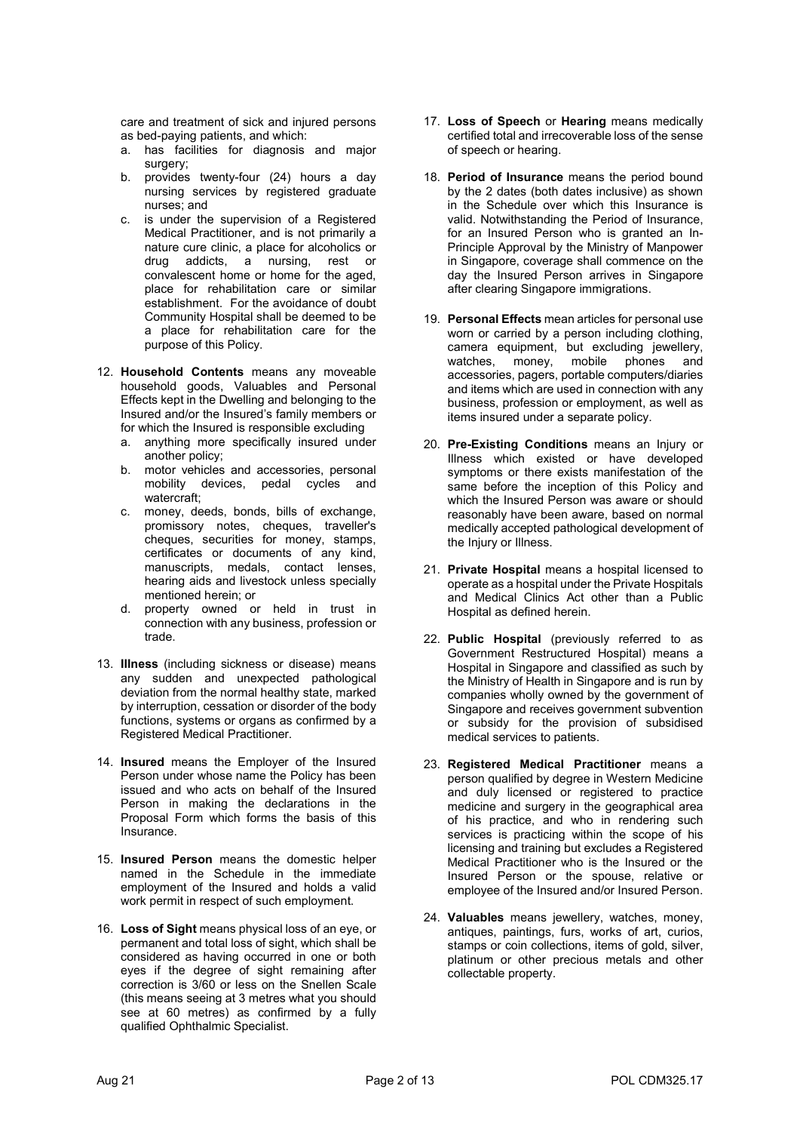care and treatment of sick and injured persons as bed-paying patients, and which:

- a. has facilities for diagnosis and major surgery;
- b. provides twenty-four (24) hours a day nursing services by registered graduate nurses; and
- c. is under the supervision of a Registered Medical Practitioner, and is not primarily a nature cure clinic, a place for alcoholics or drug addicts, a nursing, rest or convalescent home or home for the aged, place for rehabilitation care or similar establishment. For the avoidance of doubt Community Hospital shall be deemed to be a place for rehabilitation care for the purpose of this Policy.
- 12. Household Contents means any moveable household goods, Valuables and Personal Effects kept in the Dwelling and belonging to the Insured and/or the Insured's family members or for which the Insured is responsible excluding
	- a. anything more specifically insured under another policy;
	- b. motor vehicles and accessories, personal mobility devices, pedal cycles and watercraft;
	- c. money, deeds, bonds, bills of exchange, promissory notes, cheques, traveller's cheques, securities for money, stamps, certificates or documents of any kind, manuscripts, medals, contact lenses, hearing aids and livestock unless specially mentioned herein; or
	- d. property owned or held in trust in connection with any business, profession or trade.
- 13. Illness (including sickness or disease) means any sudden and unexpected pathological deviation from the normal healthy state, marked by interruption, cessation or disorder of the body functions, systems or organs as confirmed by a Registered Medical Practitioner.
- 14. Insured means the Employer of the Insured Person under whose name the Policy has been issued and who acts on behalf of the Insured Person in making the declarations in the Proposal Form which forms the basis of this Insurance.
- 15. Insured Person means the domestic helper named in the Schedule in the immediate employment of the Insured and holds a valid work permit in respect of such employment.
- 16. Loss of Sight means physical loss of an eye, or permanent and total loss of sight, which shall be considered as having occurred in one or both eyes if the degree of sight remaining after correction is 3/60 or less on the Snellen Scale (this means seeing at 3 metres what you should see at 60 metres) as confirmed by a fully qualified Ophthalmic Specialist.
- 17. Loss of Speech or Hearing means medically certified total and irrecoverable loss of the sense of speech or hearing.
- 18. Period of Insurance means the period bound by the 2 dates (both dates inclusive) as shown in the Schedule over which this Insurance is valid. Notwithstanding the Period of Insurance, for an Insured Person who is granted an In-Principle Approval by the Ministry of Manpower in Singapore, coverage shall commence on the day the Insured Person arrives in Singapore after clearing Singapore immigrations.
- 19. Personal Effects mean articles for personal use worn or carried by a person including clothing, camera equipment, but excluding jewellery, watches, money, mobile phones and accessories, pagers, portable computers/diaries and items which are used in connection with any business, profession or employment, as well as items insured under a separate policy.
- 20. Pre-Existing Conditions means an Injury or Illness which existed or have developed symptoms or there exists manifestation of the same before the inception of this Policy and which the Insured Person was aware or should reasonably have been aware, based on normal medically accepted pathological development of the Injury or Illness.
- 21. Private Hospital means a hospital licensed to operate as a hospital under the Private Hospitals and Medical Clinics Act other than a Public Hospital as defined herein.
- 22. Public Hospital (previously referred to as Government Restructured Hospital) means a Hospital in Singapore and classified as such by the Ministry of Health in Singapore and is run by companies wholly owned by the government of Singapore and receives government subvention or subsidy for the provision of subsidised medical services to patients.
- 23. Registered Medical Practitioner means a person qualified by degree in Western Medicine and duly licensed or registered to practice medicine and surgery in the geographical area of his practice, and who in rendering such services is practicing within the scope of his licensing and training but excludes a Registered Medical Practitioner who is the Insured or the Insured Person or the spouse, relative or employee of the Insured and/or Insured Person.
- 24. Valuables means jewellery, watches, money, antiques, paintings, furs, works of art, curios, stamps or coin collections, items of gold, silver, platinum or other precious metals and other collectable property.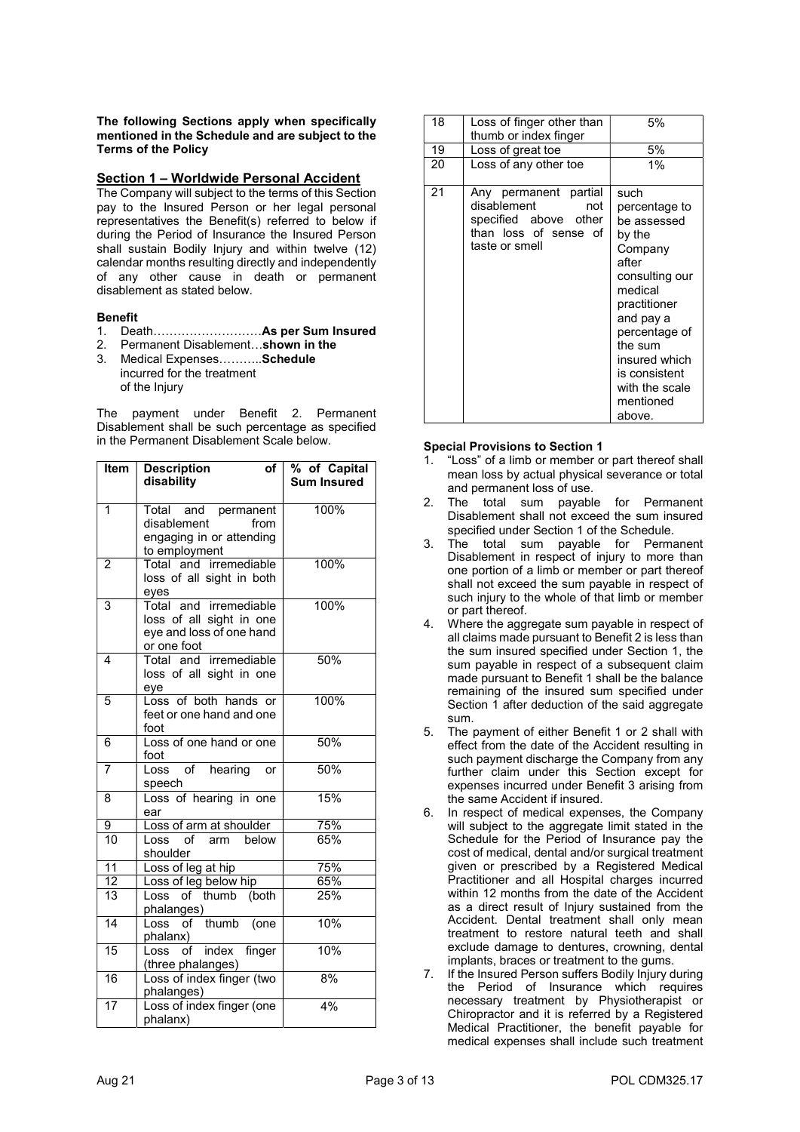The following Sections apply when specifically mentioned in the Schedule and are subject to the Terms of the Policy

### Section 1 – Worldwide Personal Accident

The Company will subject to the terms of this Section pay to the Insured Person or her legal personal representatives the Benefit(s) referred to below if during the Period of Insurance the Insured Person shall sustain Bodily Injury and within twelve (12) calendar months resulting directly and independently of any other cause in death or permanent disablement as stated below.

### Benefit

- 1. Death………………………As per Sum Insured
- 2. Permanent Disablement…shown in the 3. Medical Expenses………..Schedule incurred for the treatment
	- of the Injury

The payment under Benefit 2. Permanent Disablement shall be such percentage as specified in the Permanent Disablement Scale below.

| Item                    | <b>Description</b><br>of<br>disability                                                           | % of Capital<br><b>Sum Insured</b> |
|-------------------------|--------------------------------------------------------------------------------------------------|------------------------------------|
|                         |                                                                                                  |                                    |
| 1                       | Total and permanent<br>disablement<br>from<br>engaging in or attending<br>to employment          | 100%                               |
| $\overline{2}$          | Total and irremediable<br>loss of all sight in both<br>eyes                                      | 100%                               |
| $\overline{\mathbf{3}}$ | and irremediable<br>Total<br>loss of all sight in one<br>eye and loss of one hand<br>or one foot | 100%                               |
| $\overline{\mathbf{4}}$ | Total and irremediable<br>loss of all sight in one<br>eye                                        | 50%                                |
| 5                       | Loss of both hands or<br>feet or one hand and one<br>foot                                        | 100%                               |
| 6                       | Loss of one hand or one<br>foot                                                                  | 50%                                |
| 7                       | of hearing<br>Loss<br>or<br>speech                                                               | 50%                                |
| 8                       | Loss of hearing in one<br>ear                                                                    | 15%                                |
| 9                       | Loss of arm at shoulder                                                                          | 75%                                |
| 10                      | Loss of arm below<br>shoulder                                                                    | 65%                                |
| $\overline{11}$         | Loss of leg at hip                                                                               | 75%                                |
| 12                      | Loss of leg below hip                                                                            | 65%                                |
| $\overline{13}$         | of thumb (both<br>Loss<br>phalanges)                                                             | 25%                                |
| $\overline{14}$         | Loss of thumb (one<br>phalanx)                                                                   | 10%                                |
| 15                      | of index<br>finger<br>Loss<br>(three phalanges)                                                  | 10%                                |
| 16                      | Loss of index finger (two<br>phalanges)                                                          | 8%                                 |
| 17                      | Loss of index finger (one<br>phalanx)                                                            | 4%                                 |

| 18 | Loss of finger other than<br>thumb or index finger                                                              | 5%                                                                                                                                                                                                                                  |
|----|-----------------------------------------------------------------------------------------------------------------|-------------------------------------------------------------------------------------------------------------------------------------------------------------------------------------------------------------------------------------|
| 19 | Loss of great toe                                                                                               | 5%                                                                                                                                                                                                                                  |
| 20 | Loss of any other toe                                                                                           | 1%                                                                                                                                                                                                                                  |
| 21 | Any permanent partial<br>disablement<br>not<br>specified above other<br>than loss of sense of<br>taste or smell | such<br>percentage to<br>be assessed<br>by the<br>Company<br>after<br>consulting our<br>medical<br>practitioner<br>and pay a<br>percentage of<br>the sum<br>insured which<br>is consistent<br>with the scale<br>mentioned<br>above. |

# Special Provisions to Section 1

- 1. "Loss" of a limb or member or part thereof shall mean loss by actual physical severance or total and permanent loss of use.
- 2. The total sum payable for Permanent Disablement shall not exceed the sum insured specified under Section 1 of the Schedule.
- 3. The total sum payable for Permanent Disablement in respect of injury to more than one portion of a limb or member or part thereof shall not exceed the sum payable in respect of such injury to the whole of that limb or member or part thereof.
- 4. Where the aggregate sum payable in respect of all claims made pursuant to Benefit 2 is less than the sum insured specified under Section 1, the sum payable in respect of a subsequent claim made pursuant to Benefit 1 shall be the balance remaining of the insured sum specified under Section 1 after deduction of the said aggregate sum.
- 5. The payment of either Benefit 1 or 2 shall with effect from the date of the Accident resulting in such payment discharge the Company from any further claim under this Section except for expenses incurred under Benefit 3 arising from the same Accident if insured.
- 6. In respect of medical expenses, the Company will subject to the aggregate limit stated in the Schedule for the Period of Insurance pay the cost of medical, dental and/or surgical treatment given or prescribed by a Registered Medical Practitioner and all Hospital charges incurred within 12 months from the date of the Accident as a direct result of Injury sustained from the Accident. Dental treatment shall only mean treatment to restore natural teeth and shall exclude damage to dentures, crowning, dental implants, braces or treatment to the gums.
- 7. If the Insured Person suffers Bodily Injury during the Period of Insurance which requires necessary treatment by Physiotherapist or Chiropractor and it is referred by a Registered Medical Practitioner, the benefit payable for medical expenses shall include such treatment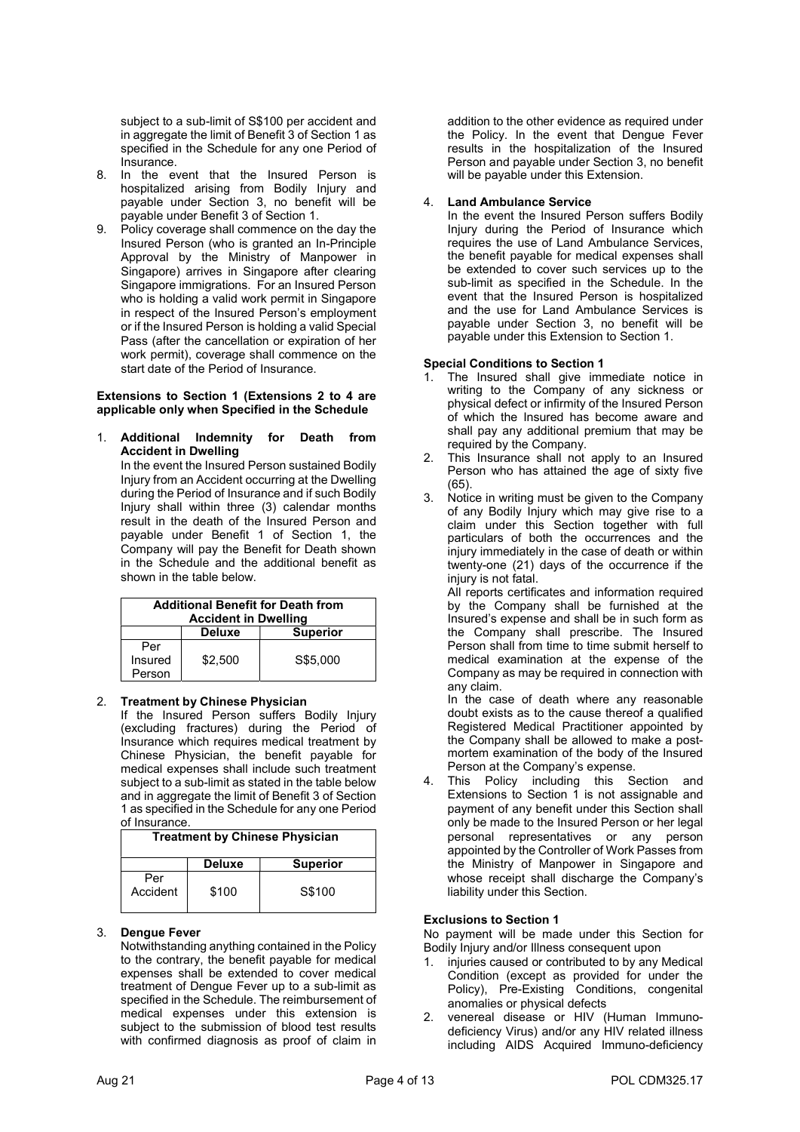subject to a sub-limit of S\$100 per accident and in aggregate the limit of Benefit 3 of Section 1 as specified in the Schedule for any one Period of Insurance.

- 8. In the event that the Insured Person is hospitalized arising from Bodily Injury and payable under Section 3, no benefit will be payable under Benefit 3 of Section 1.
- 9. Policy coverage shall commence on the day the Insured Person (who is granted an In-Principle Approval by the Ministry of Manpower in Singapore) arrives in Singapore after clearing Singapore immigrations. For an Insured Person who is holding a valid work permit in Singapore in respect of the Insured Person's employment or if the Insured Person is holding a valid Special Pass (after the cancellation or expiration of her work permit), coverage shall commence on the start date of the Period of Insurance.

### Extensions to Section 1 (Extensions 2 to 4 are applicable only when Specified in the Schedule

### 1. Additional Indemnity for Death from Accident in Dwelling

In the event the Insured Person sustained Bodily Injury from an Accident occurring at the Dwelling during the Period of Insurance and if such Bodily Injury shall within three (3) calendar months result in the death of the Insured Person and payable under Benefit 1 of Section 1, the Company will pay the Benefit for Death shown in the Schedule and the additional benefit as shown in the table below.

| <b>Additional Benefit for Death from</b><br><b>Accident in Dwelling</b> |               |                 |  |
|-------------------------------------------------------------------------|---------------|-----------------|--|
|                                                                         | <b>Deluxe</b> | <b>Superior</b> |  |
| Per<br>Insured<br>Person                                                | \$2.500       | S\$5,000        |  |

# 2. Treatment by Chinese Physician

If the Insured Person suffers Bodily Injury (excluding fractures) during the Period of Insurance which requires medical treatment by Chinese Physician, the benefit payable for medical expenses shall include such treatment subject to a sub-limit as stated in the table below and in aggregate the limit of Benefit 3 of Section 1 as specified in the Schedule for any one Period of Insurance.

| <b>Treatment by Chinese Physician</b> |               |                 |
|---------------------------------------|---------------|-----------------|
|                                       | <b>Deluxe</b> | <b>Superior</b> |
| Per<br>Accident                       | \$100         | S\$100          |

# 3. Dengue Fever

Notwithstanding anything contained in the Policy to the contrary, the benefit payable for medical expenses shall be extended to cover medical treatment of Dengue Fever up to a sub-limit as specified in the Schedule. The reimbursement of medical expenses under this extension is subject to the submission of blood test results with confirmed diagnosis as proof of claim in addition to the other evidence as required under the Policy. In the event that Dengue Fever results in the hospitalization of the Insured Person and payable under Section 3, no benefit will be payable under this Extension.

# 4. Land Ambulance Service

In the event the Insured Person suffers Bodily Injury during the Period of Insurance which requires the use of Land Ambulance Services, the benefit payable for medical expenses shall be extended to cover such services up to the sub-limit as specified in the Schedule. In the event that the Insured Person is hospitalized and the use for Land Ambulance Services is payable under Section 3, no benefit will be payable under this Extension to Section 1.

# Special Conditions to Section 1

- The Insured shall give immediate notice in writing to the Company of any sickness or physical defect or infirmity of the Insured Person of which the Insured has become aware and shall pay any additional premium that may be required by the Company.
- 2. This Insurance shall not apply to an Insured Person who has attained the age of sixty five (65).
- 3. Notice in writing must be given to the Company of any Bodily Injury which may give rise to a claim under this Section together with full particulars of both the occurrences and the injury immediately in the case of death or within twenty-one (21) days of the occurrence if the injury is not fatal.

All reports certificates and information required by the Company shall be furnished at the Insured's expense and shall be in such form as the Company shall prescribe. The Insured Person shall from time to time submit herself to medical examination at the expense of the Company as may be required in connection with any claim.

In the case of death where any reasonable doubt exists as to the cause thereof a qualified Registered Medical Practitioner appointed by the Company shall be allowed to make a postmortem examination of the body of the Insured Person at the Company's expense.

This Policy including this Section and Extensions to Section 1 is not assignable and payment of any benefit under this Section shall only be made to the Insured Person or her legal personal representatives or any person appointed by the Controller of Work Passes from the Ministry of Manpower in Singapore and whose receipt shall discharge the Company's liability under this Section.

# Exclusions to Section 1

No payment will be made under this Section for Bodily Injury and/or Illness consequent upon

- injuries caused or contributed to by any Medical Condition (except as provided for under the Policy), Pre-Existing Conditions, congenital anomalies or physical defects
- venereal disease or HIV (Human Immunodeficiency Virus) and/or any HIV related illness including AIDS Acquired Immuno-deficiency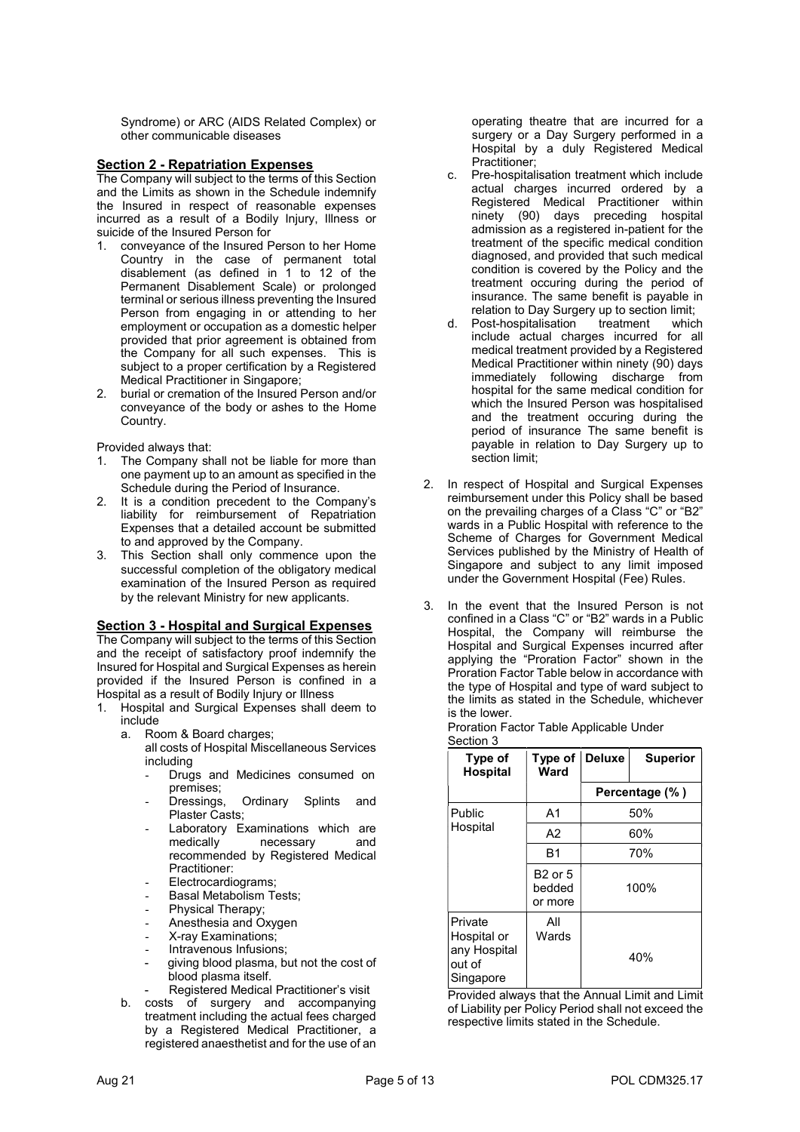Syndrome) or ARC (AIDS Related Complex) or other communicable diseases

### Section 2 - Repatriation Expenses

The Company will subject to the terms of this Section and the Limits as shown in the Schedule indemnify the Insured in respect of reasonable expenses incurred as a result of a Bodily Injury, Illness or suicide of the Insured Person for

- 1. conveyance of the Insured Person to her Home Country in the case of permanent total disablement (as defined in 1 to 12 of the Permanent Disablement Scale) or prolonged terminal or serious illness preventing the Insured Person from engaging in or attending to her employment or occupation as a domestic helper provided that prior agreement is obtained from the Company for all such expenses. This is subject to a proper certification by a Registered Medical Practitioner in Singapore;
- 2. burial or cremation of the Insured Person and/or conveyance of the body or ashes to the Home Country.

Provided always that:

- 1. The Company shall not be liable for more than one payment up to an amount as specified in the Schedule during the Period of Insurance.
- 2. It is a condition precedent to the Company's liability for reimbursement of Repatriation Expenses that a detailed account be submitted to and approved by the Company.
- 3. This Section shall only commence upon the successful completion of the obligatory medical examination of the Insured Person as required by the relevant Ministry for new applicants.

# **Section 3 - Hospital and Surgical Expenses**

The Company will subject to the terms of this Section and the receipt of satisfactory proof indemnify the Insured for Hospital and Surgical Expenses as herein provided if the Insured Person is confined in a Hospital as a result of Bodily Injury or Illness

- 1. Hospital and Surgical Expenses shall deem to include
	- a. Room & Board charges;
		- all costs of Hospital Miscellaneous Services including
			- Drugs and Medicines consumed on premises;<br>Dressings,
			- Ordinary Splints and Plaster Casts;
			- Laboratory Examinations which are medically necessary and recommended by Registered Medical Practitioner:
			- Electrocardiograms;
			- Basal Metabolism Tests;
			- Physical Therapy;
			- Anesthesia and Oxygen
			- X-ray Examinations;
			- Intravenous Infusions;
			- giving blood plasma, but not the cost of blood plasma itself.
				- Registered Medical Practitioner's visit
	- b. costs of surgery and accompanying treatment including the actual fees charged by a Registered Medical Practitioner, a registered anaesthetist and for the use of an

operating theatre that are incurred for a surgery or a Day Surgery performed in a Hospital by a duly Registered Medical Practitioner;

- c. Pre-hospitalisation treatment which include actual charges incurred ordered by a Registered Medical Practitioner within ninety (90) days preceding hospital admission as a registered in-patient for the treatment of the specific medical condition diagnosed, and provided that such medical condition is covered by the Policy and the treatment occuring during the period of insurance. The same benefit is payable in relation to Day Surgery up to section limit;
- d. Post-hospitalisation treatment which include actual charges incurred for all medical treatment provided by a Registered Medical Practitioner within ninety (90) days immediately following discharge from hospital for the same medical condition for which the Insured Person was hospitalised and the treatment occuring during the period of insurance The same benefit is payable in relation to Day Surgery up to section limit;
- 2. In respect of Hospital and Surgical Expenses reimbursement under this Policy shall be based on the prevailing charges of a Class "C" or "B2" wards in a Public Hospital with reference to the Scheme of Charges for Government Medical Services published by the Ministry of Health of Singapore and subject to any limit imposed under the Government Hospital (Fee) Rules.
- 3. In the event that the Insured Person is not confined in a Class "C" or "B2" wards in a Public Hospital, the Company will reimburse the Hospital and Surgical Expenses incurred after applying the "Proration Factor" shown in the Proration Factor Table below in accordance with the type of Hospital and type of ward subject to the limits as stated in the Schedule, whichever is the lower.

| Type of<br><b>Hospital</b>                                    | Type of<br>Ward                     | <b>Deluxe</b> | <b>Superior</b> |
|---------------------------------------------------------------|-------------------------------------|---------------|-----------------|
|                                                               |                                     |               | Percentage (%)  |
| Public                                                        | A <sub>1</sub>                      |               | 50%             |
| Hospital                                                      | A <sub>2</sub>                      |               | 60%             |
|                                                               | <b>B1</b>                           |               | 70%             |
|                                                               | <b>B2 or 5</b><br>bedded<br>or more |               | 100%            |
| Private<br>Hospital or<br>any Hospital<br>out of<br>Singapore | All<br>Wards                        |               | 40%             |

Provided always that the Annual Limit and Limit of Liability per Policy Period shall not exceed the respective limits stated in the Schedule.

Proration Factor Table Applicable Under Section 3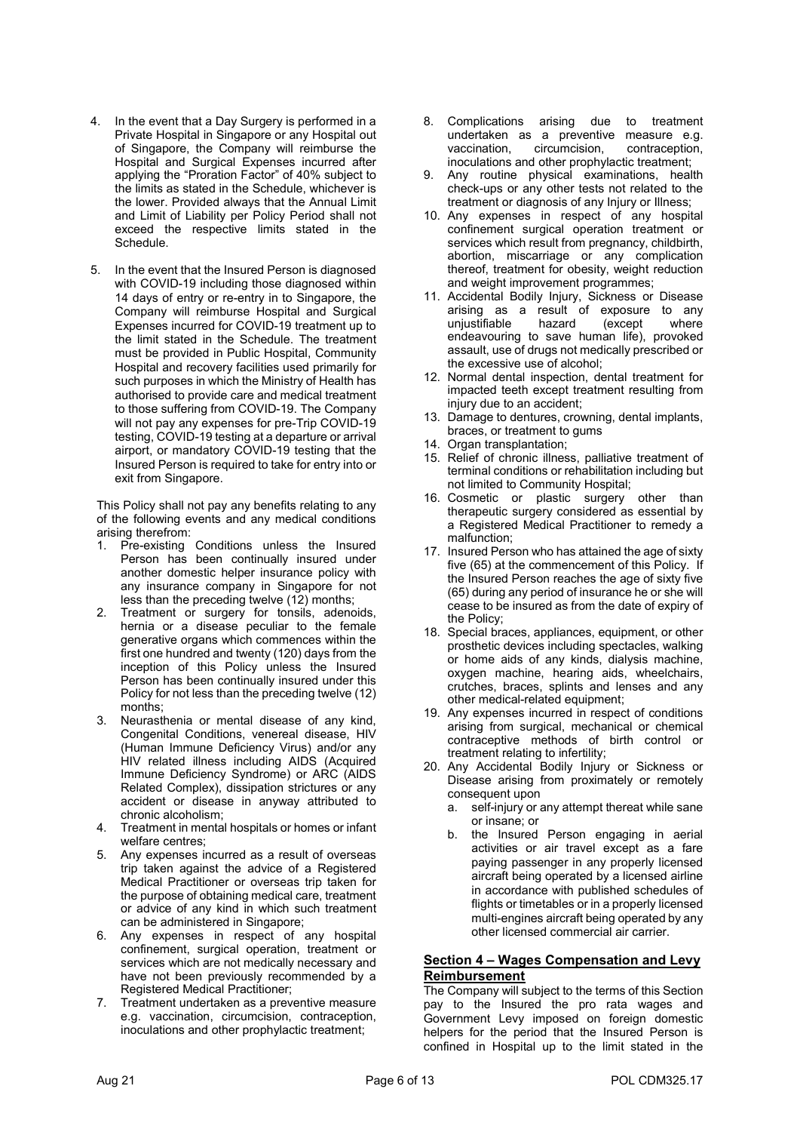- 4. In the event that a Day Surgery is performed in a Private Hospital in Singapore or any Hospital out of Singapore, the Company will reimburse the Hospital and Surgical Expenses incurred after applying the "Proration Factor" of 40% subject to the limits as stated in the Schedule, whichever is the lower. Provided always that the Annual Limit and Limit of Liability per Policy Period shall not exceed the respective limits stated in the Schedule.
- 5. In the event that the Insured Person is diagnosed with COVID-19 including those diagnosed within 14 days of entry or re-entry in to Singapore, the Company will reimburse Hospital and Surgical Expenses incurred for COVID-19 treatment up to the limit stated in the Schedule. The treatment must be provided in Public Hospital, Community Hospital and recovery facilities used primarily for such purposes in which the Ministry of Health has authorised to provide care and medical treatment to those suffering from COVID-19. The Company will not pay any expenses for pre-Trip COVID-19 testing, COVID-19 testing at a departure or arrival airport, or mandatory COVID-19 testing that the Insured Person is required to take for entry into or exit from Singapore.

This Policy shall not pay any benefits relating to any of the following events and any medical conditions arising therefrom:

- 1. Pre-existing Conditions unless the Insured Person has been continually insured under another domestic helper insurance policy with any insurance company in Singapore for not less than the preceding twelve (12) months;
- 2. Treatment or surgery for tonsils, adenoids, hernia or a disease peculiar to the female generative organs which commences within the first one hundred and twenty (120) days from the inception of this Policy unless the Insured Person has been continually insured under this Policy for not less than the preceding twelve (12) months;
- Neurasthenia or mental disease of any kind, Congenital Conditions, venereal disease, HIV (Human Immune Deficiency Virus) and/or any HIV related illness including AIDS (Acquired Immune Deficiency Syndrome) or ARC (AIDS Related Complex), dissipation strictures or any accident or disease in anyway attributed to chronic alcoholism;
- 4. Treatment in mental hospitals or homes or infant welfare centres;
- 5. Any expenses incurred as a result of overseas trip taken against the advice of a Registered Medical Practitioner or overseas trip taken for the purpose of obtaining medical care, treatment or advice of any kind in which such treatment can be administered in Singapore;
- 6. Any expenses in respect of any hospital confinement, surgical operation, treatment or services which are not medically necessary and have not been previously recommended by a Registered Medical Practitioner;
- 7. Treatment undertaken as a preventive measure e.g. vaccination, circumcision, contraception, inoculations and other prophylactic treatment;
- 8. Complications arising due to treatment undertaken as a preventive measure e.g. vaccination, circumcision, contraception, inoculations and other prophylactic treatment;
- 9. Any routine physical examinations, health check-ups or any other tests not related to the treatment or diagnosis of any Injury or Illness;
- 10. Any expenses in respect of any hospital confinement surgical operation treatment or services which result from pregnancy, childbirth, abortion, miscarriage or any complication thereof, treatment for obesity, weight reduction and weight improvement programmes;
- 11. Accidental Bodily Injury, Sickness or Disease arising as a result of exposure to any unjustifiable hazard (except where endeavouring to save human life), provoked assault, use of drugs not medically prescribed or the excessive use of alcohol;
- 12. Normal dental inspection, dental treatment for impacted teeth except treatment resulting from injury due to an accident;
- 13. Damage to dentures, crowning, dental implants, braces, or treatment to gums
- 14. Organ transplantation;
- 15. Relief of chronic illness, palliative treatment of terminal conditions or rehabilitation including but not limited to Community Hospital;
- 16. Cosmetic or plastic surgery other than therapeutic surgery considered as essential by a Registered Medical Practitioner to remedy a malfunction;
- 17. Insured Person who has attained the age of sixty five (65) at the commencement of this Policy. If the Insured Person reaches the age of sixty five (65) during any period of insurance he or she will cease to be insured as from the date of expiry of the Policy;
- 18. Special braces, appliances, equipment, or other prosthetic devices including spectacles, walking or home aids of any kinds, dialysis machine, oxygen machine, hearing aids, wheelchairs, crutches, braces, splints and lenses and any other medical-related equipment;
- 19. Any expenses incurred in respect of conditions arising from surgical, mechanical or chemical contraceptive methods of birth control or treatment relating to infertility;
- 20. Any Accidental Bodily Injury or Sickness or Disease arising from proximately or remotely consequent upon
	- a. self-injury or any attempt thereat while sane or insane; or
	- b. the Insured Person engaging in aerial activities or air travel except as a fare paying passenger in any properly licensed aircraft being operated by a licensed airline in accordance with published schedules of flights or timetables or in a properly licensed multi-engines aircraft being operated by any other licensed commercial air carrier.

# Section 4 – Wages Compensation and Levy Reimbursement

The Company will subject to the terms of this Section pay to the Insured the pro rata wages and Government Levy imposed on foreign domestic helpers for the period that the Insured Person is confined in Hospital up to the limit stated in the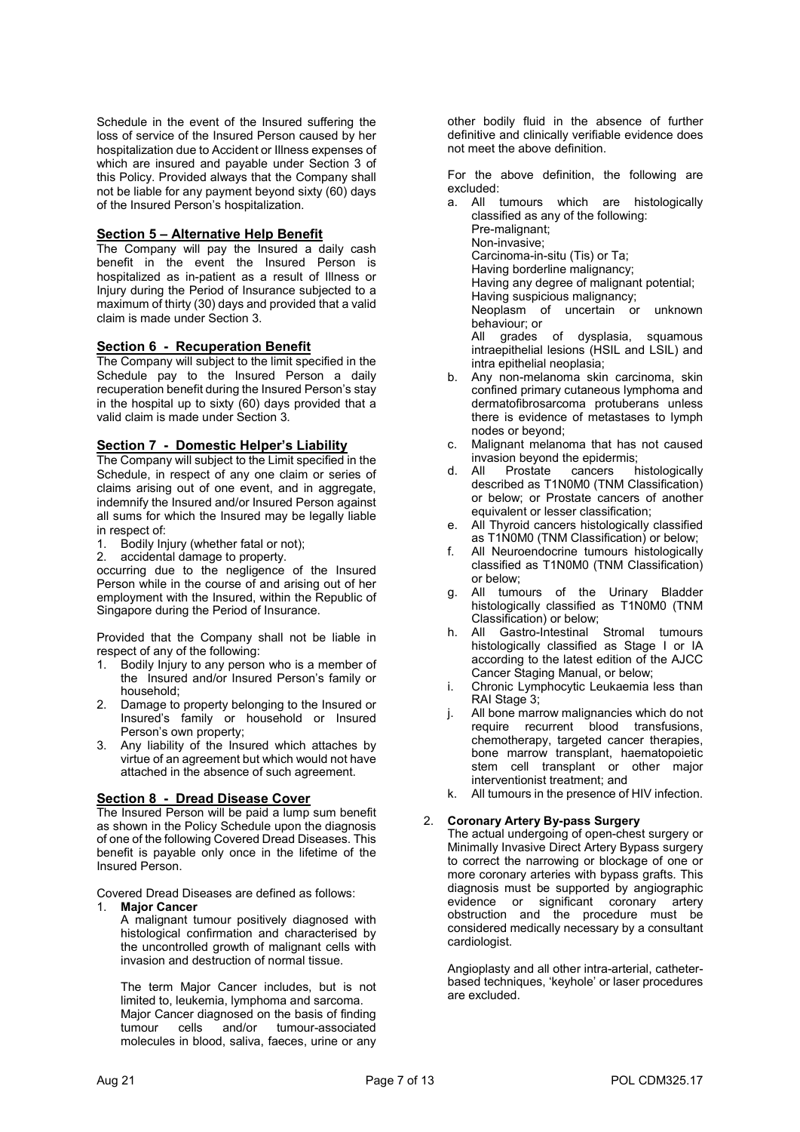Schedule in the event of the Insured suffering the loss of service of the Insured Person caused by her hospitalization due to Accident or Illness expenses of which are insured and payable under Section 3 of this Policy. Provided always that the Company shall not be liable for any payment beyond sixty (60) days of the Insured Person's hospitalization.

# Section 5 – Alternative Help Benefit

The Company will pay the Insured a daily cash benefit in the event the Insured Person is hospitalized as in-patient as a result of Illness or Injury during the Period of Insurance subjected to a maximum of thirty (30) days and provided that a valid claim is made under Section 3.

# Section 6 - Recuperation Benefit

The Company will subject to the limit specified in the Schedule pay to the Insured Person a daily recuperation benefit during the Insured Person's stay in the hospital up to sixty (60) days provided that a valid claim is made under Section 3.

# Section 7 - Domestic Helper's Liability

The Company will subject to the Limit specified in the Schedule, in respect of any one claim or series of claims arising out of one event, and in aggregate, indemnify the Insured and/or Insured Person against all sums for which the Insured may be legally liable

- in respect of:<br>1. Bodily In Bodily Injury (whether fatal or not);
- 2. accidental damage to property.

occurring due to the negligence of the Insured Person while in the course of and arising out of her employment with the Insured, within the Republic of Singapore during the Period of Insurance.

Provided that the Company shall not be liable in respect of any of the following:

- 1. Bodily Injury to any person who is a member of the Insured and/or Insured Person's family or household;
- 2. Damage to property belonging to the Insured or Insured's family or household or Insured Person's own property;
- 3. Any liability of the Insured which attaches by virtue of an agreement but which would not have attached in the absence of such agreement.

# Section 8 - Dread Disease Cover

The Insured Person will be paid a lump sum benefit as shown in the Policy Schedule upon the diagnosis of one of the following Covered Dread Diseases. This benefit is payable only once in the lifetime of the Insured Person.

Covered Dread Diseases are defined as follows:

### 1. Major Cancer

A malignant tumour positively diagnosed with histological confirmation and characterised by the uncontrolled growth of malignant cells with invasion and destruction of normal tissue.

The term Major Cancer includes, but is not limited to, leukemia, lymphoma and sarcoma. Major Cancer diagnosed on the basis of finding<br>tumour cells and/or tumour-associated tumour cells and/or tumour-associated molecules in blood, saliva, faeces, urine or any

other bodily fluid in the absence of further definitive and clinically verifiable evidence does not meet the above definition.

For the above definition, the following are excluded:

a. All tumours which are histologically classified as any of the following: Pre-malignant; Non-invasive; Carcinoma-in-situ (Tis) or Ta; Having borderline malignancy; Having any degree of malignant potential; Having suspicious malignancy; Neoplasm of uncertain or unknown behaviour; or All grades of dysplasia, squamous intraepithelial lesions (HSIL and LSIL) and intra epithelial neoplasia;

- b. Any non-melanoma skin carcinoma, skin confined primary cutaneous lymphoma and dermatofibrosarcoma protuberans unless there is evidence of metastases to lymph nodes or beyond;
- c. Malignant melanoma that has not caused invasion beyond the epidermis;
- d. All Prostate cancers histologically described as T1N0M0 (TNM Classification) or below; or Prostate cancers of another equivalent or lesser classification;
- e. All Thyroid cancers histologically classified as T1N0M0 (TNM Classification) or below;
- f. All Neuroendocrine tumours histologically classified as T1N0M0 (TNM Classification) or below;
- g. All tumours of the Urinary Bladder histologically classified as T1N0M0 (TNM Classification) or below;
- h. All Gastro-Intestinal Stromal tumours histologically classified as Stage I or IA according to the latest edition of the AJCC Cancer Staging Manual, or below;
- Chronic Lymphocytic Leukaemia less than RAI Stage 3;
- j. All bone marrow malignancies which do not require recurrent blood transfusions, chemotherapy, targeted cancer therapies, bone marrow transplant, haematopoietic stem cell transplant or other major interventionist treatment; and
- k. All tumours in the presence of HIV infection.

# 2. Coronary Artery By-pass Surgery

The actual undergoing of open-chest surgery or Minimally Invasive Direct Artery Bypass surgery to correct the narrowing or blockage of one or more coronary arteries with bypass grafts. This diagnosis must be supported by angiographic evidence or significant coronary artery obstruction and the procedure must be considered medically necessary by a consultant cardiologist.

Angioplasty and all other intra-arterial, catheterbased techniques, 'keyhole' or laser procedures are excluded.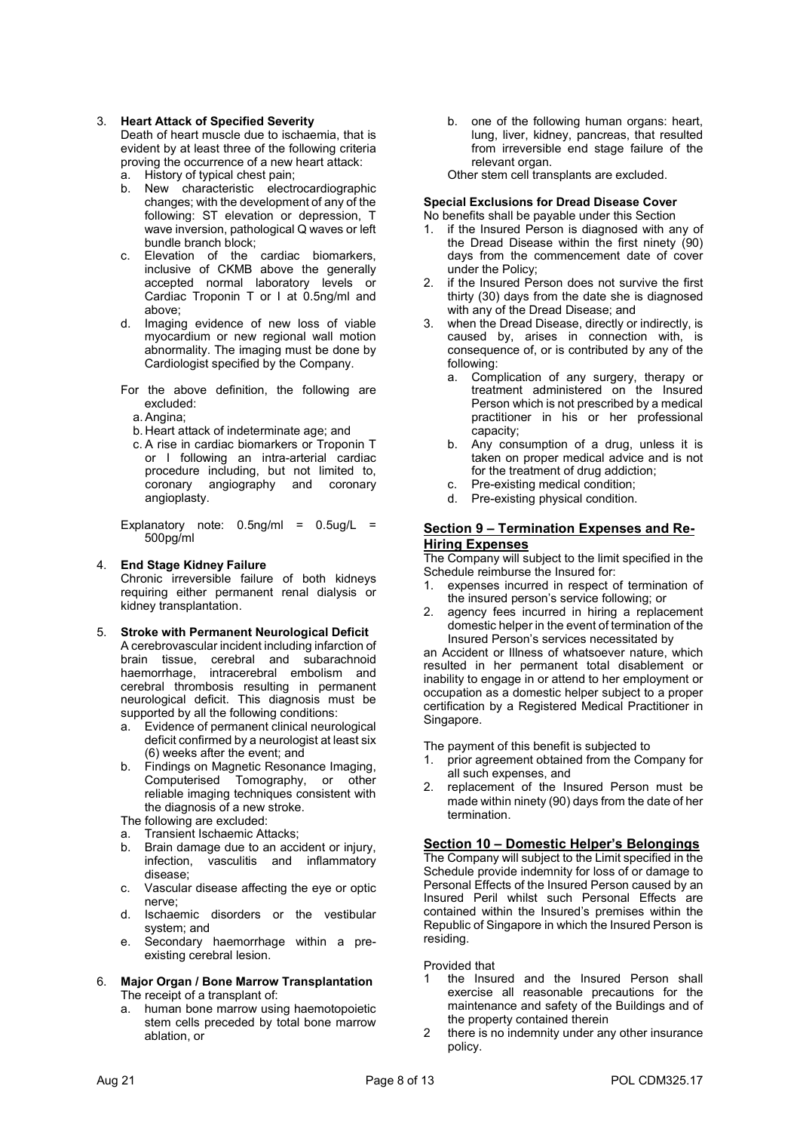### 3. Heart Attack of Specified Severity

Death of heart muscle due to ischaemia, that is evident by at least three of the following criteria proving the occurrence of a new heart attack:

- a. History of typical chest pain;
- b. New characteristic electrocardiographic changes; with the development of any of the following: ST elevation or depression, T wave inversion, pathological Q waves or left bundle branch block;
- c. Elevation of the cardiac biomarkers, inclusive of CKMB above the generally accepted normal laboratory levels or Cardiac Troponin T or I at 0.5ng/ml and above;
- d. Imaging evidence of new loss of viable myocardium or new regional wall motion abnormality. The imaging must be done by Cardiologist specified by the Company.
- For the above definition, the following are excluded:
	- a. Angina;
	- b. Heart attack of indeterminate age; and
	- c. A rise in cardiac biomarkers or Troponin T or I following an intra-arterial cardiac procedure including, but not limited to, coronary angiography and coronary angioplasty.

Explanatory note:  $0.5$ ng/ml =  $0.5$ ug/L = 500pg/ml

# 4. End Stage Kidney Failure

Chronic irreversible failure of both kidneys requiring either permanent renal dialysis or kidney transplantation.

### 5. Stroke with Permanent Neurological Deficit

A cerebrovascular incident including infarction of brain tissue, cerebral and subarachnoid haemorrhage, intracerebral embolism and cerebral thrombosis resulting in permanent neurological deficit. This diagnosis must be supported by all the following conditions:

- a. Evidence of permanent clinical neurological deficit confirmed by a neurologist at least six (6) weeks after the event; and
- b. Findings on Magnetic Resonance Imaging, Computerised Tomography, or other reliable imaging techniques consistent with the diagnosis of a new stroke.
- The following are excluded:
- a. Transient Ischaemic Attacks;
- b. Brain damage due to an accident or injury, infection, vasculitis and inflammatory disease;
- c. Vascular disease affecting the eye or optic nerve;
- d. Ischaemic disorders or the vestibular system; and
- e. Secondary haemorrhage within a preexisting cerebral lesion.
- 6. Major Organ / Bone Marrow Transplantation The receipt of a transplant of:
	- a. human bone marrow using haemotopoietic stem cells preceded by total bone marrow ablation, or

b. one of the following human organs: heart, lung, liver, kidney, pancreas, that resulted from irreversible end stage failure of the relevant organ.

Other stem cell transplants are excluded.

#### Special Exclusions for Dread Disease Cover No benefits shall be payable under this Section

- 1. if the Insured Person is diagnosed with any of the Dread Disease within the first ninety (90) days from the commencement date of cover under the Policy;
- if the Insured Person does not survive the first thirty (30) days from the date she is diagnosed with any of the Dread Disease; and
- 3. when the Dread Disease, directly or indirectly, is caused by, arises in connection with, is consequence of, or is contributed by any of the following:
	- a. Complication of any surgery, therapy or treatment administered on the Insured Person which is not prescribed by a medical practitioner in his or her professional capacity;
	- b. Any consumption of a drug, unless it is taken on proper medical advice and is not for the treatment of drug addiction;
	- c. Pre-existing medical condition;
	- d. Pre-existing physical condition.

### Section 9 – Termination Expenses and Re-Hiring Expenses

The Company will subject to the limit specified in the Schedule reimburse the Insured for:

- 1. expenses incurred in respect of termination of the insured person's service following; or
- 2. agency fees incurred in hiring a replacement domestic helper in the event of termination of the Insured Person's services necessitated by

an Accident or Illness of whatsoever nature, which resulted in her permanent total disablement or inability to engage in or attend to her employment or occupation as a domestic helper subject to a proper certification by a Registered Medical Practitioner in Singapore.

The payment of this benefit is subjected to

- 1. prior agreement obtained from the Company for all such expenses, and
- 2. replacement of the Insured Person must be made within ninety (90) days from the date of her termination.

# Section 10 – Domestic Helper's Belongings

The Company will subject to the Limit specified in the Schedule provide indemnity for loss of or damage to Personal Effects of the Insured Person caused by an Insured Peril whilst such Personal Effects are contained within the Insured's premises within the Republic of Singapore in which the Insured Person is residing.

Provided that

- the Insured and the Insured Person shall exercise all reasonable precautions for the maintenance and safety of the Buildings and of the property contained therein
- 2 there is no indemnity under any other insurance policy.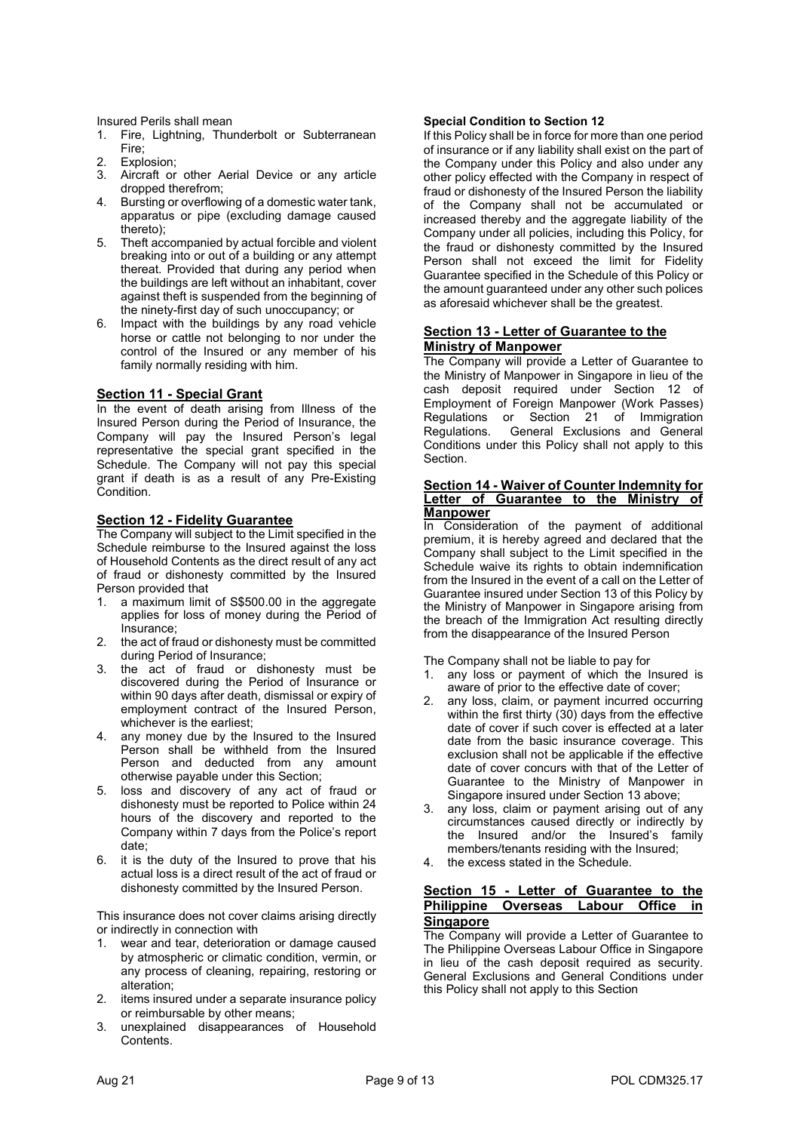Insured Perils shall mean

- 1. Fire, Lightning, Thunderbolt or Subterranean Fire;
- 2. Explosion;
- 3. Aircraft or other Aerial Device or any article dropped therefrom;
- 4. Bursting or overflowing of a domestic water tank, apparatus or pipe (excluding damage caused thereto);
- 5. Theft accompanied by actual forcible and violent breaking into or out of a building or any attempt thereat. Provided that during any period when the buildings are left without an inhabitant, cover against theft is suspended from the beginning of the ninety-first day of such unoccupancy; or
- 6. Impact with the buildings by any road vehicle horse or cattle not belonging to nor under the control of the Insured or any member of his family normally residing with him.

### Section 11 - Special Grant

In the event of death arising from Illness of the Insured Person during the Period of Insurance, the Company will pay the Insured Person's legal representative the special grant specified in the Schedule. The Company will not pay this special grant if death is as a result of any Pre-Existing Condition.

### Section 12 - Fidelity Guarantee

The Company will subject to the Limit specified in the Schedule reimburse to the Insured against the loss of Household Contents as the direct result of any act of fraud or dishonesty committed by the Insured Person provided that

- 1. a maximum limit of S\$500.00 in the aggregate applies for loss of money during the Period of Insurance;
- 2. the act of fraud or dishonesty must be committed during Period of Insurance;
- 3. the act of fraud or dishonesty must be discovered during the Period of Insurance or within 90 days after death, dismissal or expiry of employment contract of the Insured Person, whichever is the earliest;
- 4. any money due by the Insured to the Insured Person shall be withheld from the Insured Person and deducted from any amount otherwise payable under this Section;
- 5. loss and discovery of any act of fraud or dishonesty must be reported to Police within 24 hours of the discovery and reported to the Company within 7 days from the Police's report date;
- 6. it is the duty of the Insured to prove that his actual loss is a direct result of the act of fraud or dishonesty committed by the Insured Person.

This insurance does not cover claims arising directly or indirectly in connection with

- 1. wear and tear, deterioration or damage caused by atmospheric or climatic condition, vermin, or any process of cleaning, repairing, restoring or alteration;
- 2. items insured under a separate insurance policy or reimbursable by other means;
- 3. unexplained disappearances of Household Contents.

### Special Condition to Section 12

If this Policy shall be in force for more than one period of insurance or if any liability shall exist on the part of the Company under this Policy and also under any other policy effected with the Company in respect of fraud or dishonesty of the Insured Person the liability of the Company shall not be accumulated or increased thereby and the aggregate liability of the Company under all policies, including this Policy, for the fraud or dishonesty committed by the Insured Person shall not exceed the limit for Fidelity Guarantee specified in the Schedule of this Policy or the amount guaranteed under any other such polices as aforesaid whichever shall be the greatest.

### Section 13 - Letter of Guarantee to the Ministry of Manpower

The Company will provide a Letter of Guarantee to the Ministry of Manpower in Singapore in lieu of the cash deposit required under Section 12 of Employment of Foreign Manpower (Work Passes) Regulations or Section 21 of Immigration Regulations. General Exclusions and General Conditions under this Policy shall not apply to this Section.

### **Section 14 - Waiver of Counter Indemnity for** Letter of Guarantee to the Ministry of **Manpower**

In Consideration of the payment of additional premium, it is hereby agreed and declared that the Company shall subject to the Limit specified in the Schedule waive its rights to obtain indemnification from the Insured in the event of a call on the Letter of Guarantee insured under Section 13 of this Policy by the Ministry of Manpower in Singapore arising from the breach of the Immigration Act resulting directly from the disappearance of the Insured Person

The Company shall not be liable to pay for

- 1. any loss or payment of which the Insured is aware of prior to the effective date of cover;
- any loss, claim, or payment incurred occurring within the first thirty (30) days from the effective date of cover if such cover is effected at a later date from the basic insurance coverage. This exclusion shall not be applicable if the effective date of cover concurs with that of the Letter of Guarantee to the Ministry of Manpower in Singapore insured under Section 13 above;
- 3. any loss, claim or payment arising out of any circumstances caused directly or indirectly by the Insured and/or the Insured's family members/tenants residing with the Insured;
- 4. the excess stated in the Schedule.

### Section 15 - Letter of Guarantee to the Philippine Overseas Labour Office in **Singapore**

The Company will provide a Letter of Guarantee to The Philippine Overseas Labour Office in Singapore in lieu of the cash deposit required as security. General Exclusions and General Conditions under this Policy shall not apply to this Section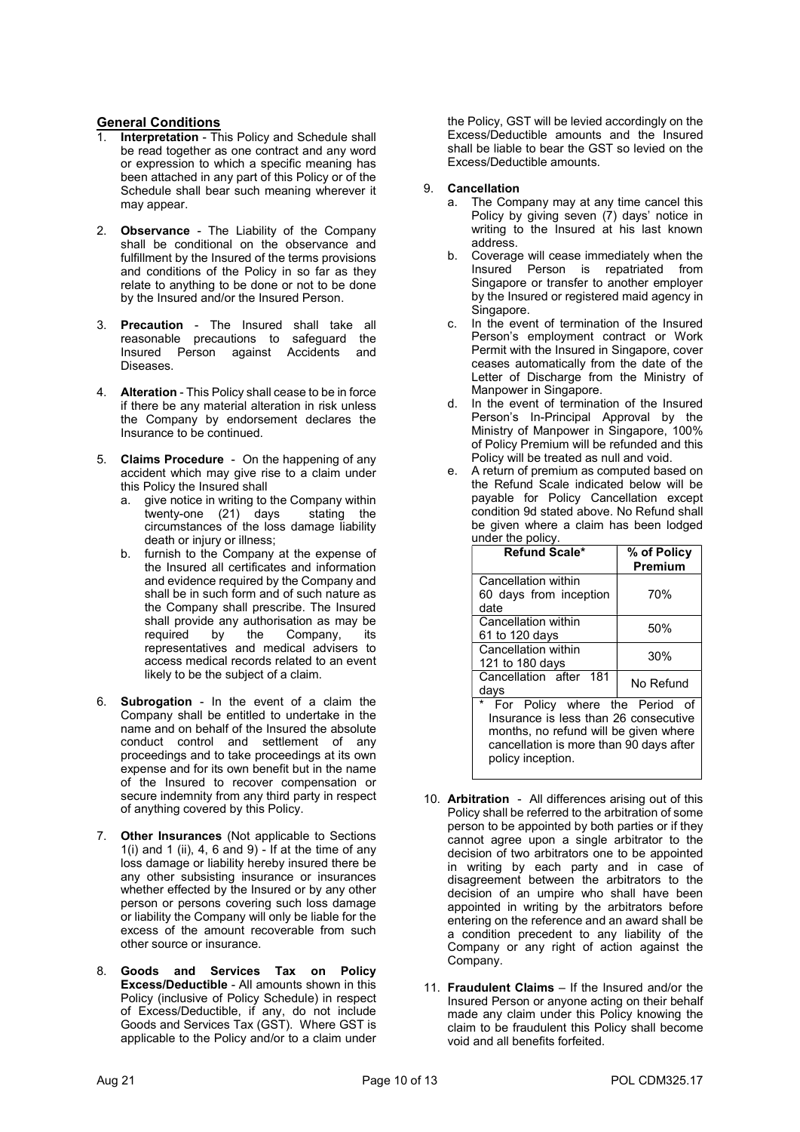# General Conditions

- 1. Interpretation This Policy and Schedule shall be read together as one contract and any word or expression to which a specific meaning has been attached in any part of this Policy or of the Schedule shall bear such meaning wherever it may appear.
- 2. Observance The Liability of the Company shall be conditional on the observance and fulfillment by the Insured of the terms provisions and conditions of the Policy in so far as they relate to anything to be done or not to be done by the Insured and/or the Insured Person.
- 3. Precaution The Insured shall take all reasonable precautions to safeguard the Insured Person against Accidents and Diseases.
- 4. Alteration This Policy shall cease to be in force if there be any material alteration in risk unless the Company by endorsement declares the Insurance to be continued.
- 5. Claims Procedure On the happening of any accident which may give rise to a claim under this Policy the Insured shall
	- a. give notice in writing to the Company within twenty-one (21) days stating the circumstances of the loss damage liability death or injury or illness;
	- b. furnish to the Company at the expense of the Insured all certificates and information and evidence required by the Company and shall be in such form and of such nature as the Company shall prescribe. The Insured shall provide any authorisation as may be required by the Company, its representatives and medical advisers to access medical records related to an event likely to be the subject of a claim.
- 6. Subrogation In the event of a claim the Company shall be entitled to undertake in the name and on behalf of the Insured the absolute conduct control and settlement of any proceedings and to take proceedings at its own expense and for its own benefit but in the name of the Insured to recover compensation or secure indemnity from any third party in respect of anything covered by this Policy.
- 7. Other Insurances (Not applicable to Sections 1(i) and 1 (ii), 4, 6 and 9) - If at the time of any loss damage or liability hereby insured there be any other subsisting insurance or insurances whether effected by the Insured or by any other person or persons covering such loss damage or liability the Company will only be liable for the excess of the amount recoverable from such other source or insurance.
- 8. Goods and Services Tax on Policy Excess/Deductible - All amounts shown in this Policy (inclusive of Policy Schedule) in respect of Excess/Deductible, if any, do not include Goods and Services Tax (GST). Where GST is applicable to the Policy and/or to a claim under

the Policy, GST will be levied accordingly on the Excess/Deductible amounts and the Insured shall be liable to bear the GST so levied on the Excess/Deductible amounts.

### 9. Cancellation

- a. The Company may at any time cancel this Policy by giving seven (7) days' notice in writing to the Insured at his last known address.
- b. Coverage will cease immediately when the Insured Person is repatriated from Singapore or transfer to another employer by the Insured or registered maid agency in Singapore.
- In the event of termination of the Insured Person's employment contract or Work Permit with the Insured in Singapore, cover ceases automatically from the date of the Letter of Discharge from the Ministry of Manpower in Singapore.
- d. In the event of termination of the Insured Person's In-Principal Approval by the Ministry of Manpower in Singapore, 100% of Policy Premium will be refunded and this Policy will be treated as null and void.
- e. A return of premium as computed based on the Refund Scale indicated below will be payable for Policy Cancellation except condition 9d stated above. No Refund shall be given where a claim has been lodged under the policy.

| Refund Scale*                                                                                                                                                                    | % of Policy<br>Premium |
|----------------------------------------------------------------------------------------------------------------------------------------------------------------------------------|------------------------|
| Cancellation within<br>60 days from inception<br>date                                                                                                                            | 70%                    |
| Cancellation within<br>61 to 120 days                                                                                                                                            | 50%                    |
| Cancellation within<br>121 to 180 days                                                                                                                                           | 30%                    |
| Cancellation after 181<br>days                                                                                                                                                   | No Refund              |
| For Policy where the Period of<br>Insurance is less than 26 consecutive<br>months, no refund will be given where<br>cancellation is more than 90 days after<br>policy inception. |                        |

- 10. Arbitration All differences arising out of this Policy shall be referred to the arbitration of some person to be appointed by both parties or if they cannot agree upon a single arbitrator to the decision of two arbitrators one to be appointed in writing by each party and in case of disagreement between the arbitrators to the decision of an umpire who shall have been appointed in writing by the arbitrators before entering on the reference and an award shall be a condition precedent to any liability of the Company or any right of action against the Company.
- 11. Fraudulent Claims If the Insured and/or the Insured Person or anyone acting on their behalf made any claim under this Policy knowing the claim to be fraudulent this Policy shall become void and all benefits forfeited.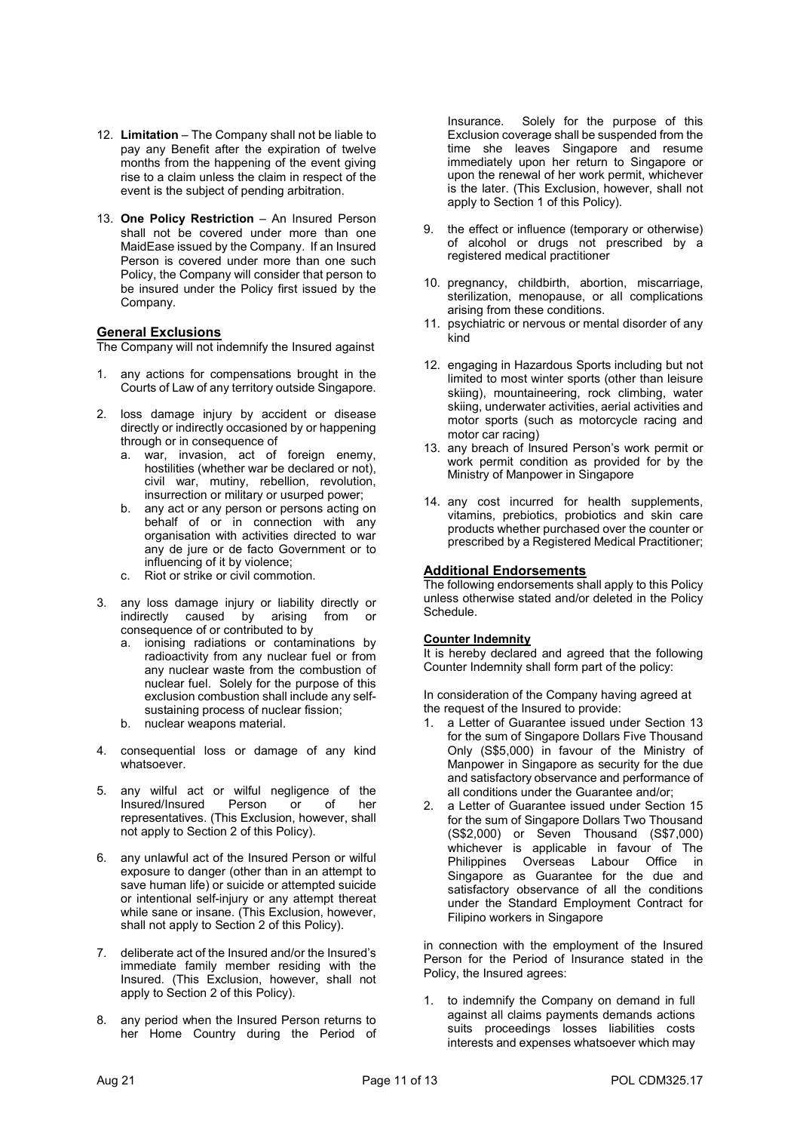- 12. Limitation The Company shall not be liable to pay any Benefit after the expiration of twelve months from the happening of the event giving rise to a claim unless the claim in respect of the event is the subject of pending arbitration.
- 13. One Policy Restriction An Insured Person shall not be covered under more than one MaidEase issued by the Company. If an Insured Person is covered under more than one such Policy, the Company will consider that person to be insured under the Policy first issued by the Company.

### **General Exclusions**

The Company will not indemnify the Insured against

- 1. any actions for compensations brought in the Courts of Law of any territory outside Singapore.
- 2. loss damage injury by accident or disease directly or indirectly occasioned by or happening through or in consequence of
	- a. war, invasion, act of foreign enemy, hostilities (whether war be declared or not). civil war, mutiny, rebellion, revolution, insurrection or military or usurped power;
	- b. any act or any person or persons acting on behalf of or in connection with any organisation with activities directed to war any de jure or de facto Government or to influencing of it by violence;
	- c. Riot or strike or civil commotion.
- 3. any loss damage injury or liability directly or indirectly caused by arising from or consequence of or contributed to by
	- a. ionising radiations or contaminations by radioactivity from any nuclear fuel or from any nuclear waste from the combustion of nuclear fuel. Solely for the purpose of this exclusion combustion shall include any selfsustaining process of nuclear fission;
	- b. nuclear weapons material.
- 4. consequential loss or damage of any kind whatsoever.
- 5. any wilful act or wilful negligence of the Insured/Insured Person or of her representatives. (This Exclusion, however, shall not apply to Section 2 of this Policy).
- 6. any unlawful act of the Insured Person or wilful exposure to danger (other than in an attempt to save human life) or suicide or attempted suicide or intentional self-injury or any attempt thereat while sane or insane. (This Exclusion, however, shall not apply to Section 2 of this Policy).
- 7. deliberate act of the Insured and/or the Insured's immediate family member residing with the Insured. (This Exclusion, however, shall not apply to Section 2 of this Policy).
- 8. any period when the Insured Person returns to her Home Country during the Period of

Insurance. Solely for the purpose of this Exclusion coverage shall be suspended from the time she leaves Singapore and resume immediately upon her return to Singapore or upon the renewal of her work permit, whichever is the later. (This Exclusion, however, shall not apply to Section 1 of this Policy).

- 9. the effect or influence (temporary or otherwise) of alcohol or drugs not prescribed by a registered medical practitioner
- 10. pregnancy, childbirth, abortion, miscarriage, sterilization, menopause, or all complications arising from these conditions.
- 11. psychiatric or nervous or mental disorder of any kind
- 12. engaging in Hazardous Sports including but not limited to most winter sports (other than leisure skiing), mountaineering, rock climbing, water skiing, underwater activities, aerial activities and motor sports (such as motorcycle racing and motor car racing)
- 13. any breach of Insured Person's work permit or work permit condition as provided for by the Ministry of Manpower in Singapore
- 14. any cost incurred for health supplements, vitamins, prebiotics, probiotics and skin care products whether purchased over the counter or prescribed by a Registered Medical Practitioner;

### Additional Endorsements

The following endorsements shall apply to this Policy unless otherwise stated and/or deleted in the Policy Schedule.

### Counter Indemnity

It is hereby declared and agreed that the following Counter Indemnity shall form part of the policy:

In consideration of the Company having agreed at the request of the Insured to provide:

- 1. a Letter of Guarantee issued under Section 13 for the sum of Singapore Dollars Five Thousand Only (S\$5,000) in favour of the Ministry of Manpower in Singapore as security for the due and satisfactory observance and performance of all conditions under the Guarantee and/or;
- 2. a Letter of Guarantee issued under Section 15 for the sum of Singapore Dollars Two Thousand (S\$2,000) or Seven Thousand (S\$7,000) whichever is applicable in favour of The Philippines Overseas Labour Office in Singapore as Guarantee for the due and satisfactory observance of all the conditions under the Standard Employment Contract for Filipino workers in Singapore

in connection with the employment of the Insured Person for the Period of Insurance stated in the Policy, the Insured agrees:

1. to indemnify the Company on demand in full against all claims payments demands actions suits proceedings losses liabilities costs interests and expenses whatsoever which may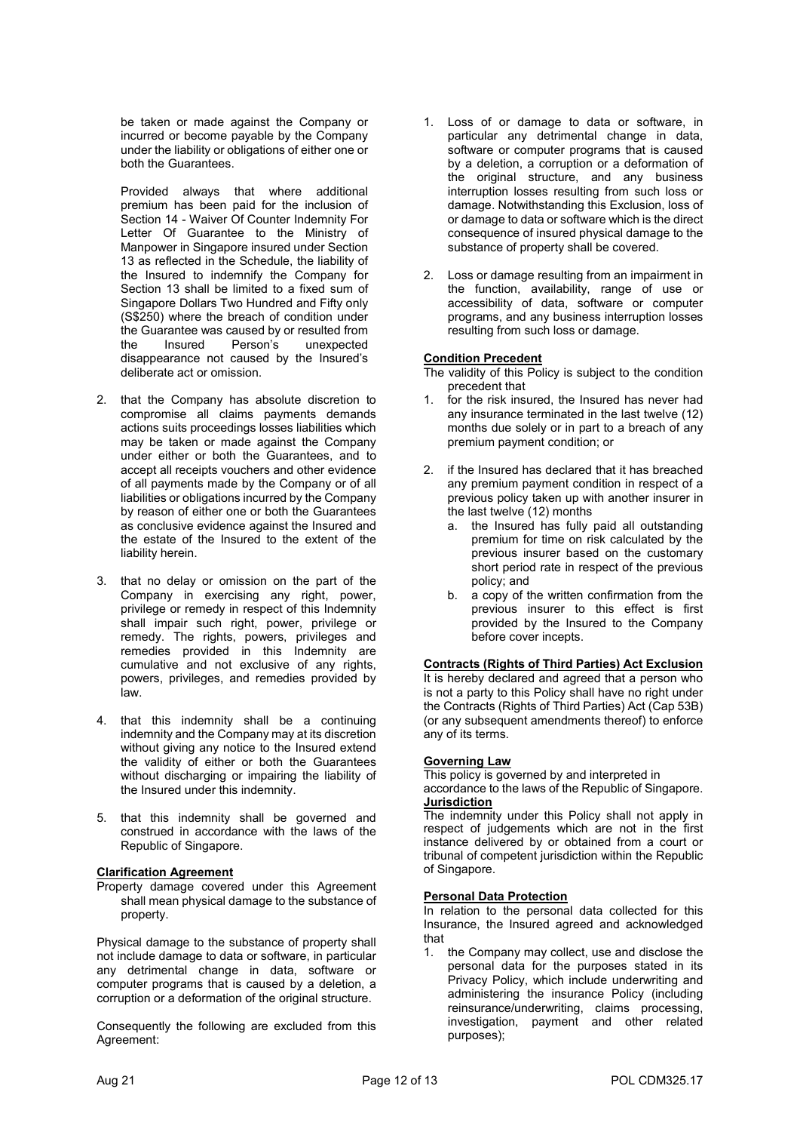be taken or made against the Company or incurred or become payable by the Company under the liability or obligations of either one or both the Guarantees.

Provided always that where additional premium has been paid for the inclusion of Section 14 - Waiver Of Counter Indemnity For Letter Of Guarantee to the Ministry of Manpower in Singapore insured under Section 13 as reflected in the Schedule, the liability of the Insured to indemnify the Company for Section 13 shall be limited to a fixed sum of Singapore Dollars Two Hundred and Fifty only (S\$250) where the breach of condition under the Guarantee was caused by or resulted from the Insured Person's unexpected disappearance not caused by the Insured's deliberate act or omission.

- 2. that the Company has absolute discretion to compromise all claims payments demands actions suits proceedings losses liabilities which may be taken or made against the Company under either or both the Guarantees, and to accept all receipts vouchers and other evidence of all payments made by the Company or of all liabilities or obligations incurred by the Company by reason of either one or both the Guarantees as conclusive evidence against the Insured and the estate of the Insured to the extent of the liability herein.
- 3. that no delay or omission on the part of the Company in exercising any right, power, privilege or remedy in respect of this Indemnity shall impair such right, power, privilege or remedy. The rights, powers, privileges and remedies provided in this Indemnity are cumulative and not exclusive of any rights, powers, privileges, and remedies provided by law.
- 4. that this indemnity shall be a continuing indemnity and the Company may at its discretion without giving any notice to the Insured extend the validity of either or both the Guarantees without discharging or impairing the liability of the Insured under this indemnity.
- 5. that this indemnity shall be governed and construed in accordance with the laws of the Republic of Singapore.

### Clarification Agreement

Property damage covered under this Agreement shall mean physical damage to the substance of property.

Physical damage to the substance of property shall not include damage to data or software, in particular any detrimental change in data, software or computer programs that is caused by a deletion, a corruption or a deformation of the original structure.

Consequently the following are excluded from this Agreement:

- 1. Loss of or damage to data or software, in particular any detrimental change in data, software or computer programs that is caused by a deletion, a corruption or a deformation of the original structure, and any business interruption losses resulting from such loss or damage. Notwithstanding this Exclusion, loss of or damage to data or software which is the direct consequence of insured physical damage to the substance of property shall be covered.
- 2. Loss or damage resulting from an impairment in the function, availability, range of use or accessibility of data, software or computer programs, and any business interruption losses resulting from such loss or damage.

### Condition Precedent

- The validity of this Policy is subject to the condition precedent that
- for the risk insured, the Insured has never had any insurance terminated in the last twelve (12) months due solely or in part to a breach of any premium payment condition; or
- 2. if the Insured has declared that it has breached any premium payment condition in respect of a previous policy taken up with another insurer in the last twelve (12) months
	- a. the Insured has fully paid all outstanding premium for time on risk calculated by the previous insurer based on the customary short period rate in respect of the previous policy; and
	- b. a copy of the written confirmation from the previous insurer to this effect is first provided by the Insured to the Company before cover incepts.

Contracts (Rights of Third Parties) Act Exclusion It is hereby declared and agreed that a person who is not a party to this Policy shall have no right under the Contracts (Rights of Third Parties) Act (Cap 53B)

(or any subsequent amendments thereof) to enforce

# any of its terms. Governing Law

This policy is governed by and interpreted in accordance to the laws of the Republic of Singapore. **Jurisdiction** 

The indemnity under this Policy shall not apply in respect of judgements which are not in the first instance delivered by or obtained from a court or tribunal of competent jurisdiction within the Republic of Singapore.

### Personal Data Protection

In relation to the personal data collected for this Insurance, the Insured agreed and acknowledged that

1. the Company may collect, use and disclose the personal data for the purposes stated in its Privacy Policy, which include underwriting and administering the insurance Policy (including reinsurance/underwriting, claims processing, investigation, payment and other related purposes);